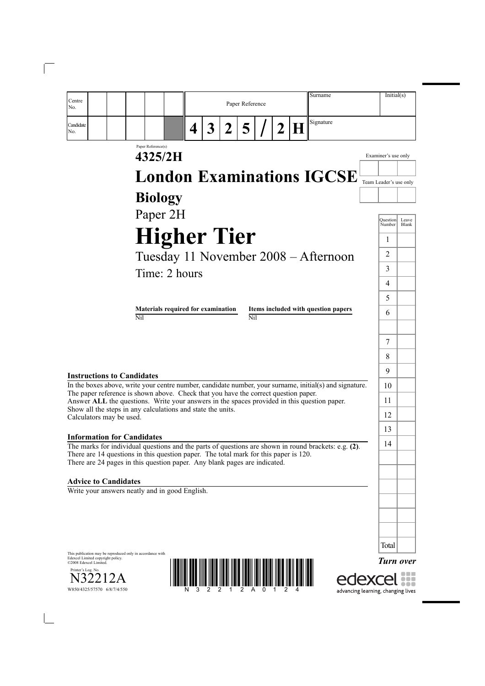| Surname<br>Centre<br>Paper Reference<br>No.                                                                                                                                                    | Initial(s)                                  |
|------------------------------------------------------------------------------------------------------------------------------------------------------------------------------------------------|---------------------------------------------|
| Signature<br>H<br>Candidate<br>$\overline{5}$<br>3<br>$\overline{2}$<br>$\vert 2 \vert$<br>4<br>No.                                                                                            |                                             |
| Paper Reference(s)<br>4325/2H                                                                                                                                                                  | Examiner's use only                         |
| <b>London Examinations IGCSE</b>                                                                                                                                                               |                                             |
|                                                                                                                                                                                                | Team Leader's use only                      |
| <b>Biology</b>                                                                                                                                                                                 |                                             |
| Paper 2H                                                                                                                                                                                       | Leave<br><b>Question</b><br>Blank<br>Number |
| <b>Higher Tier</b>                                                                                                                                                                             | 1                                           |
| Tuesday 11 November 2008 – Afternoon                                                                                                                                                           | 2                                           |
| Time: 2 hours                                                                                                                                                                                  | 3                                           |
|                                                                                                                                                                                                | 4                                           |
|                                                                                                                                                                                                | 5                                           |
| Materials required for examination<br>Items included with question papers<br>$\overline{\text{Nil}}$<br>Nil                                                                                    | 6                                           |
|                                                                                                                                                                                                |                                             |
|                                                                                                                                                                                                | 7                                           |
|                                                                                                                                                                                                | 8                                           |
| <b>Instructions to Candidates</b>                                                                                                                                                              | 9                                           |
| In the boxes above, write your centre number, candidate number, your surname, initial(s) and signature.<br>The paper reference is shown above. Check that you have the correct question paper. | 10<br>11                                    |
| Answer ALL the questions. Write your answers in the spaces provided in this question paper.<br>Show all the steps in any calculations and state the units.                                     | 12                                          |
| Calculators may be used.                                                                                                                                                                       | 13                                          |
| <b>Information for Candidates</b><br>The marks for individual questions and the parts of questions are shown in round brackets: e.g. (2).                                                      | 14                                          |
| There are 14 questions in this question paper. The total mark for this paper is 120.<br>There are 24 pages in this question paper. Any blank pages are indicated.                              |                                             |
| <b>Advice to Candidates</b>                                                                                                                                                                    |                                             |
| Write your answers neatly and in good English.                                                                                                                                                 |                                             |
|                                                                                                                                                                                                |                                             |
|                                                                                                                                                                                                |                                             |
|                                                                                                                                                                                                | Total                                       |
| This publication may be reproduced only in accordance with<br>Edexcel Limited copyright policy.<br>©2008 Edexcel Limited.<br>Printer's Log. No.                                                | <b>Turn over</b>                            |
| W850/4325/57570 6/8/7/4/550                                                                                                                                                                    | advancing learning, changing lives          |

 $\overline{\phantom{a}}$ 

 $\begin{array}{c} \hline \end{array}$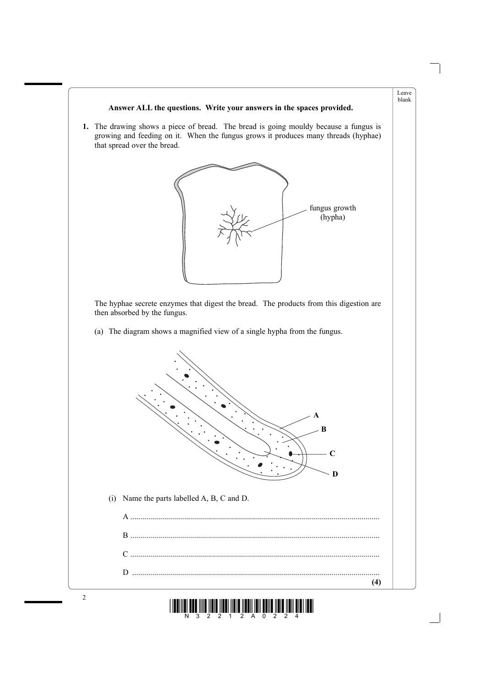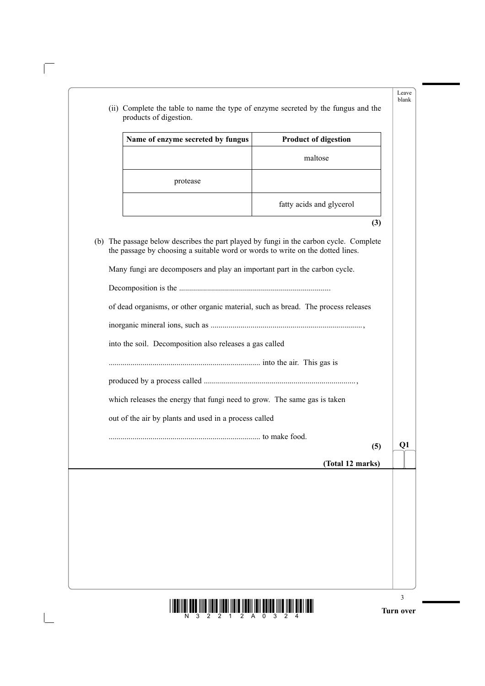| Name of enzyme secreted by fungus                                                                                                                            | <b>Product of digestion</b> |
|--------------------------------------------------------------------------------------------------------------------------------------------------------------|-----------------------------|
|                                                                                                                                                              | maltose                     |
| protease                                                                                                                                                     |                             |
|                                                                                                                                                              | fatty acids and glycerol    |
|                                                                                                                                                              | (3)                         |
| the passage by choosing a suitable word or words to write on the dotted lines.<br>Many fungi are decomposers and play an important part in the carbon cycle. |                             |
| of dead organisms, or other organic material, such as bread. The process releases                                                                            |                             |
| into the soil. Decomposition also releases a gas called                                                                                                      |                             |
|                                                                                                                                                              |                             |
|                                                                                                                                                              |                             |
| which releases the energy that fungi need to grow. The same gas is taken                                                                                     |                             |
| out of the air by plants and used in a process called                                                                                                        |                             |
|                                                                                                                                                              | Q1<br>(5)                   |
|                                                                                                                                                              | (Total 12 marks)            |
|                                                                                                                                                              |                             |
|                                                                                                                                                              |                             |
|                                                                                                                                                              |                             |
|                                                                                                                                                              |                             |
|                                                                                                                                                              |                             |

 $\overline{\phantom{a}}$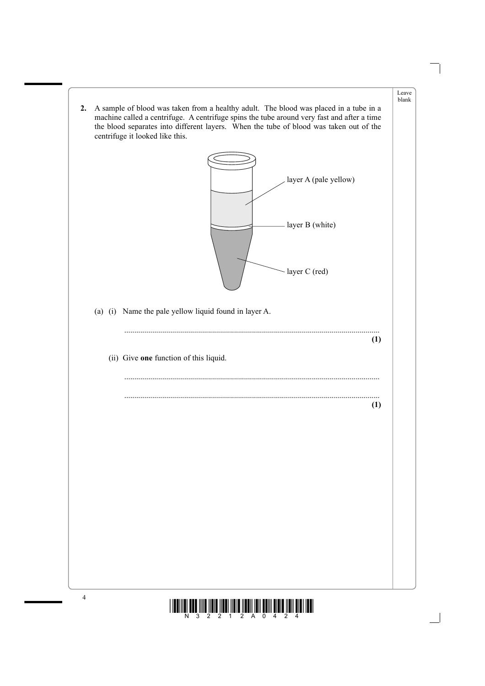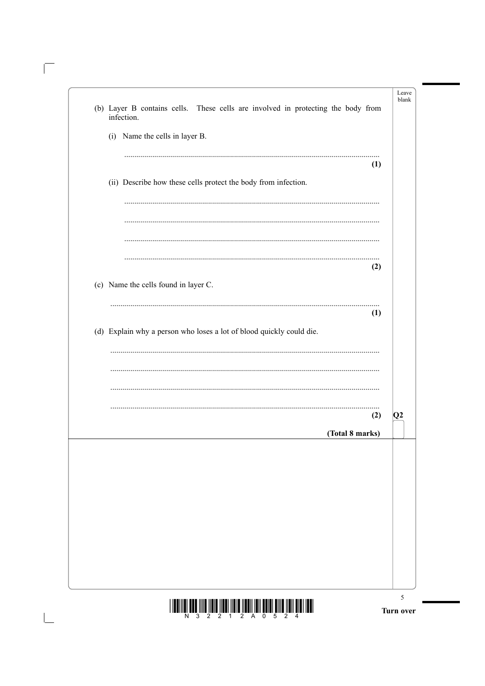| (b) Layer B contains cells. These cells are involved in protecting the body from<br>infection. |    |
|------------------------------------------------------------------------------------------------|----|
| (i) Name the cells in layer B.                                                                 |    |
| (1)                                                                                            |    |
| (ii) Describe how these cells protect the body from infection.                                 |    |
|                                                                                                |    |
|                                                                                                |    |
| (2)                                                                                            |    |
| (c) Name the cells found in layer C.                                                           |    |
| (1)                                                                                            |    |
| (d) Explain why a person who loses a lot of blood quickly could die.                           |    |
|                                                                                                |    |
|                                                                                                |    |
| (2)                                                                                            | Q2 |
| (Total 8 marks)                                                                                |    |
|                                                                                                |    |
|                                                                                                |    |
|                                                                                                |    |
|                                                                                                |    |
|                                                                                                |    |
|                                                                                                |    |
|                                                                                                | 5  |

 $\sqrt{2}$ 

 $\boxed{\phantom{1}}$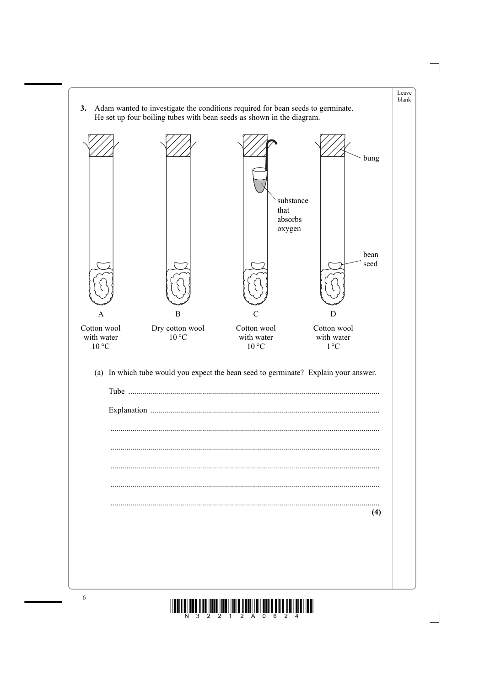

 $\mathbf{3}$ 

 $\boldsymbol{6}$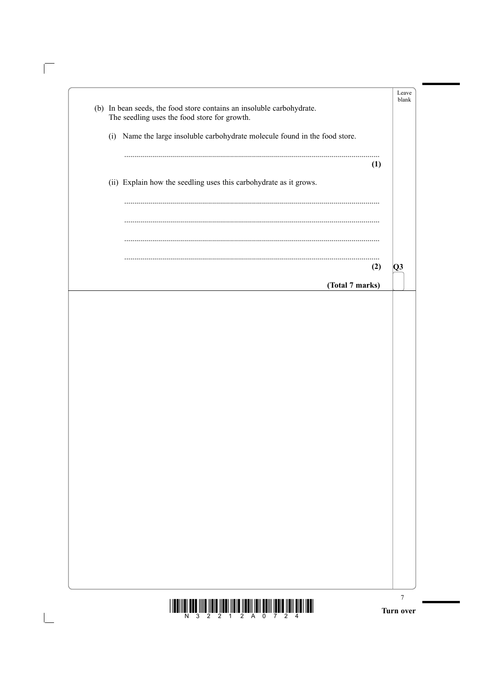|  | (b) In bean seeds, the food store contains an insoluble carbohydrate.<br>The seedling uses the food store for growth. |     |    |
|--|-----------------------------------------------------------------------------------------------------------------------|-----|----|
|  | (i) Name the large insoluble carbohydrate molecule found in the food store.                                           |     |    |
|  |                                                                                                                       | (1) |    |
|  | (ii) Explain how the seedling uses this carbohydrate as it grows.                                                     |     |    |
|  |                                                                                                                       |     |    |
|  |                                                                                                                       |     |    |
|  |                                                                                                                       | (2) | Q3 |
|  | (Total 7 marks)                                                                                                       |     |    |
|  |                                                                                                                       |     |    |
|  |                                                                                                                       |     |    |
|  |                                                                                                                       |     |    |
|  |                                                                                                                       |     |    |
|  |                                                                                                                       |     |    |
|  |                                                                                                                       |     |    |
|  |                                                                                                                       |     |    |
|  |                                                                                                                       |     |    |
|  |                                                                                                                       |     |    |
|  |                                                                                                                       |     |    |
|  |                                                                                                                       |     |    |
|  |                                                                                                                       |     |    |
|  |                                                                                                                       |     |    |
|  |                                                                                                                       |     |    |
|  |                                                                                                                       |     |    |
|  |                                                                                                                       |     |    |
|  |                                                                                                                       |     |    |
|  |                                                                                                                       |     |    |
|  |                                                                                                                       |     |    |
|  |                                                                                                                       |     |    |
|  |                                                                                                                       |     |    |
|  |                                                                                                                       |     |    |

 $\sqrt{\phantom{a}}$ 

 $\begin{array}{c} \boxed{1} \\ \boxed{1} \end{array}$ 

Turn over

 $\frac{1}{N}\left[\frac{1}{N}\right]$  and  $\frac{1}{2}\left[\frac{1}{2}\right]$  and  $\frac{1}{2}\left[\frac{1}{2}\right]$  and  $\frac{1}{2}\left[\frac{1}{2}\right]$  and  $\frac{1}{2}\left[\frac{1}{2}\right]$  and  $\frac{1}{2}\left[\frac{1}{2}\right]$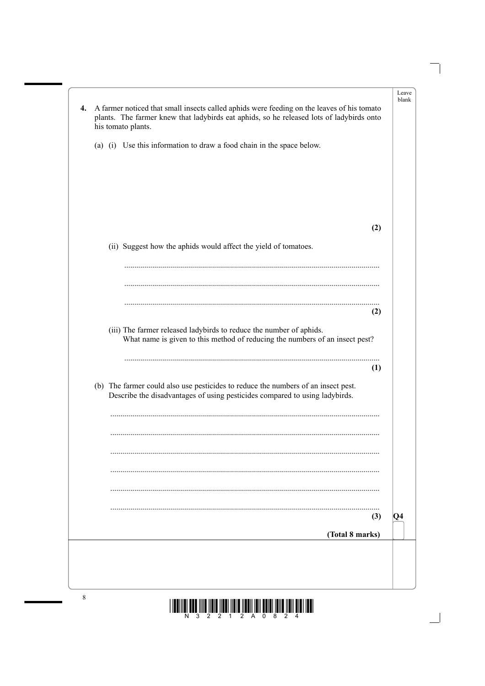| 4. |     | A farmer noticed that small insects called aphids were feeding on the leaves of his tomato<br>plants. The farmer knew that ladybirds eat aphids, so he released lots of ladybirds onto<br>his tomato plants. | Leave<br>blank |
|----|-----|--------------------------------------------------------------------------------------------------------------------------------------------------------------------------------------------------------------|----------------|
|    |     | (a) (i) Use this information to draw a food chain in the space below.                                                                                                                                        |                |
|    |     |                                                                                                                                                                                                              |                |
|    |     | (2)                                                                                                                                                                                                          |                |
|    |     | (ii) Suggest how the aphids would affect the yield of tomatoes.                                                                                                                                              |                |
|    |     |                                                                                                                                                                                                              |                |
|    |     |                                                                                                                                                                                                              |                |
|    |     | (2)                                                                                                                                                                                                          |                |
|    |     | (iii) The farmer released ladybirds to reduce the number of aphids.<br>What name is given to this method of reducing the numbers of an insect pest?                                                          |                |
|    |     | (1)                                                                                                                                                                                                          |                |
|    | (b) | The farmer could also use pesticides to reduce the numbers of an insect pest.<br>Describe the disadvantages of using pesticides compared to using ladybirds.                                                 |                |
|    |     |                                                                                                                                                                                                              |                |
|    |     |                                                                                                                                                                                                              |                |
|    |     |                                                                                                                                                                                                              |                |
|    |     |                                                                                                                                                                                                              |                |
|    |     | (3)                                                                                                                                                                                                          | $ Q_4$         |
|    |     | (Total 8 marks)                                                                                                                                                                                              |                |
|    |     |                                                                                                                                                                                                              |                |
|    |     |                                                                                                                                                                                                              |                |
|    |     |                                                                                                                                                                                                              |                |

 $\mathbb{R}^2$ 

 $\overline{\phantom{0}}$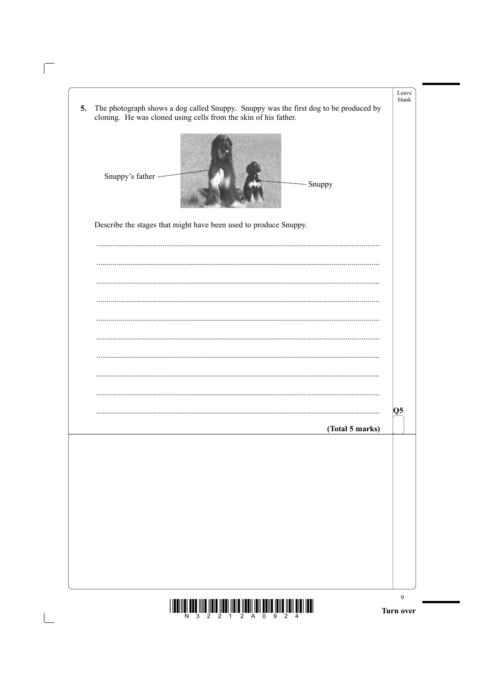| The photograph shows a dog called Snuppy. Snuppy was the first dog to be produced by<br>5.<br>cloning. He was cloned using cells from the skin of his father. | Leave<br>blank  |
|---------------------------------------------------------------------------------------------------------------------------------------------------------------|-----------------|
| Snuppy's father<br>Snuppy                                                                                                                                     |                 |
| Describe the stages that might have been used to produce Snuppy.                                                                                              |                 |
|                                                                                                                                                               |                 |
|                                                                                                                                                               |                 |
|                                                                                                                                                               |                 |
|                                                                                                                                                               |                 |
|                                                                                                                                                               |                 |
|                                                                                                                                                               | Q5              |
|                                                                                                                                                               | (Total 5 marks) |
|                                                                                                                                                               |                 |
|                                                                                                                                                               |                 |
|                                                                                                                                                               |                 |
|                                                                                                                                                               |                 |
|                                                                                                                                                               |                 |

 $\sqrt{\phantom{a}}$ 

 $\boxed{\phantom{1}}$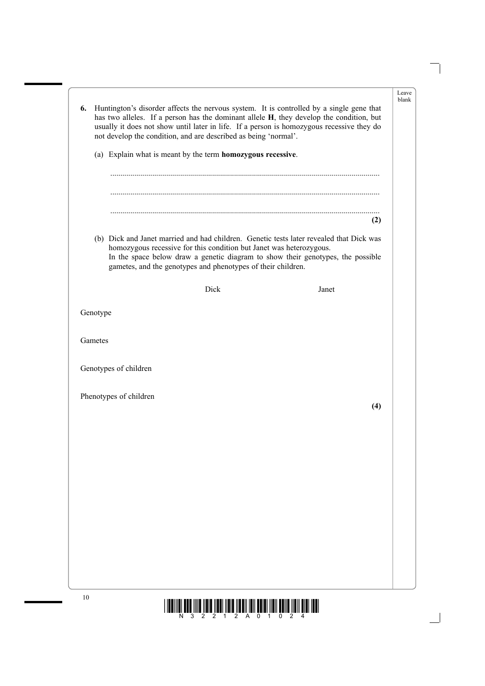|          | has two alleles. If a person has the dominant allele H, they develop the condition, but<br>usually it does not show until later in life. If a person is homozygous recessive they do<br>not develop the condition, and are described as being 'normal'.                                                           |       |
|----------|-------------------------------------------------------------------------------------------------------------------------------------------------------------------------------------------------------------------------------------------------------------------------------------------------------------------|-------|
|          | (a) Explain what is meant by the term homozygous recessive.                                                                                                                                                                                                                                                       |       |
|          |                                                                                                                                                                                                                                                                                                                   |       |
|          |                                                                                                                                                                                                                                                                                                                   | (2)   |
|          | (b) Dick and Janet married and had children. Genetic tests later revealed that Dick was<br>homozygous recessive for this condition but Janet was heterozygous.<br>In the space below draw a genetic diagram to show their genotypes, the possible<br>gametes, and the genotypes and phenotypes of their children. |       |
|          | Dick                                                                                                                                                                                                                                                                                                              | Janet |
| Genotype |                                                                                                                                                                                                                                                                                                                   |       |
| Gametes  |                                                                                                                                                                                                                                                                                                                   |       |
|          | Genotypes of children                                                                                                                                                                                                                                                                                             |       |
|          | Phenotypes of children                                                                                                                                                                                                                                                                                            |       |
|          |                                                                                                                                                                                                                                                                                                                   | (4)   |
|          |                                                                                                                                                                                                                                                                                                                   |       |
|          |                                                                                                                                                                                                                                                                                                                   |       |
|          |                                                                                                                                                                                                                                                                                                                   |       |
|          |                                                                                                                                                                                                                                                                                                                   |       |
|          |                                                                                                                                                                                                                                                                                                                   |       |
|          |                                                                                                                                                                                                                                                                                                                   |       |
|          |                                                                                                                                                                                                                                                                                                                   |       |
|          |                                                                                                                                                                                                                                                                                                                   |       |
|          |                                                                                                                                                                                                                                                                                                                   |       |

 $\Box$ 

 $\overline{\phantom{0}}$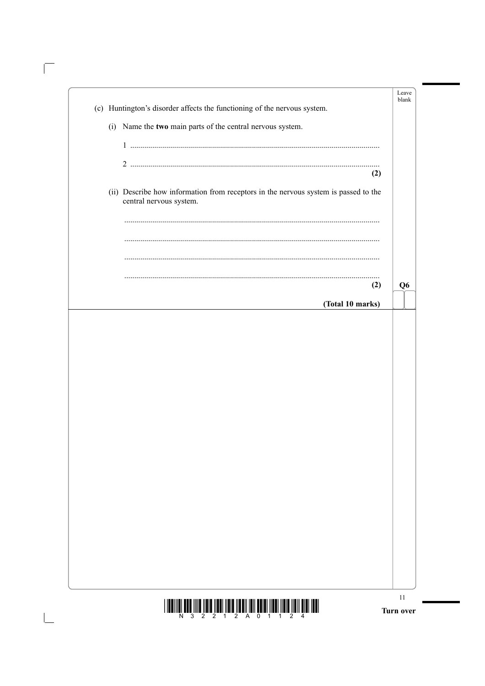| (c) Huntington's disorder affects the functioning of the nervous system.            |     | blank          |
|-------------------------------------------------------------------------------------|-----|----------------|
| Name the two main parts of the central nervous system.<br>(i)                       |     |                |
|                                                                                     |     |                |
|                                                                                     | (2) |                |
| (ii) Describe how information from receptors in the nervous system is passed to the |     |                |
| central nervous system.                                                             |     |                |
|                                                                                     |     |                |
|                                                                                     |     |                |
|                                                                                     |     |                |
|                                                                                     | (2) | Q <sub>6</sub> |
| (Total 10 marks)                                                                    |     |                |
|                                                                                     |     |                |
|                                                                                     |     |                |
|                                                                                     |     |                |
|                                                                                     |     |                |
|                                                                                     |     |                |
|                                                                                     |     |                |
|                                                                                     |     |                |
|                                                                                     |     |                |
|                                                                                     |     |                |
|                                                                                     |     |                |
|                                                                                     |     |                |
|                                                                                     |     |                |

 $\sqrt{\phantom{a}}$ 

 $\begin{array}{c} \hline \end{array}$ 

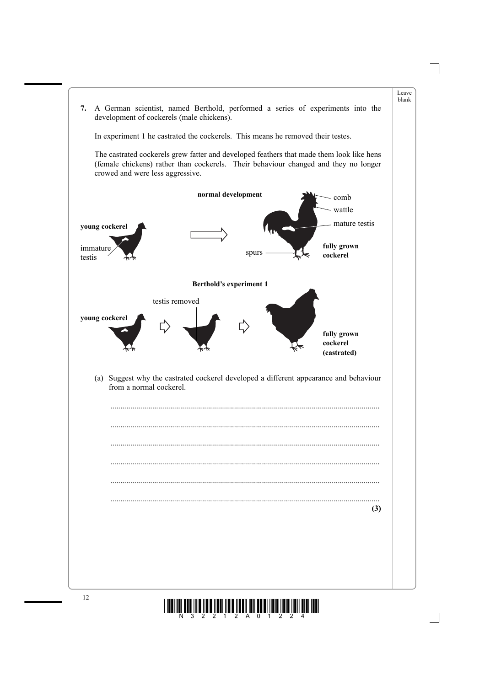

 $\begin{min}\lim\limits_{N\to 3}\lim\limits_{2}\lim\limits_{2}\lim\limits_{2}\lim\limits_{4}\lim\limits_{2}\lim\limits_{N\to \infty}\lim\limits_{2}\lim\limits_{1}\lim\limits_{2}$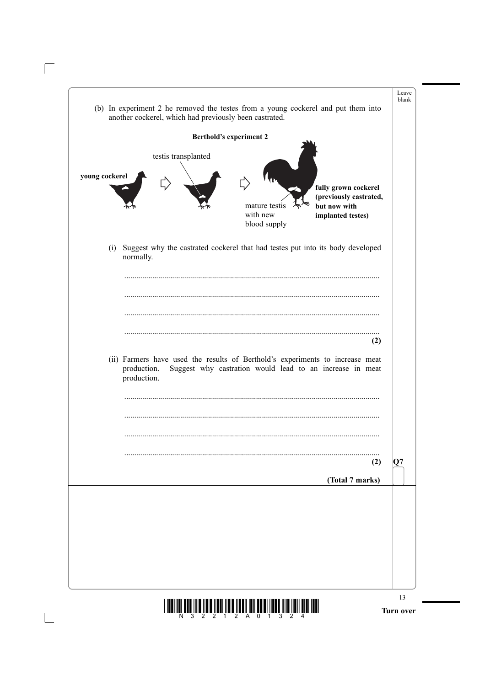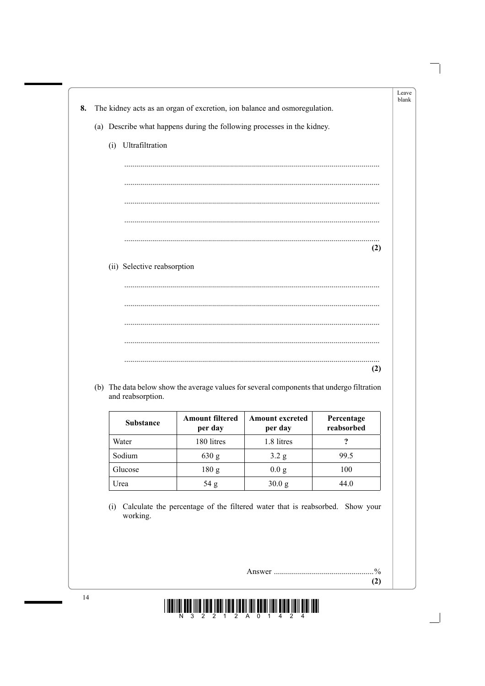| Ultrafiltration<br>(i)<br>(ii) Selective reabsorption                                     | (2)        |                                                                                            |     |
|-------------------------------------------------------------------------------------------|------------|--------------------------------------------------------------------------------------------|-----|
|                                                                                           |            |                                                                                            |     |
|                                                                                           |            |                                                                                            |     |
|                                                                                           |            |                                                                                            |     |
|                                                                                           |            |                                                                                            |     |
|                                                                                           |            |                                                                                            |     |
|                                                                                           |            |                                                                                            |     |
|                                                                                           |            |                                                                                            |     |
|                                                                                           |            |                                                                                            |     |
|                                                                                           |            |                                                                                            |     |
|                                                                                           |            |                                                                                            |     |
|                                                                                           |            |                                                                                            |     |
|                                                                                           |            |                                                                                            |     |
|                                                                                           |            |                                                                                            | (2) |
|                                                                                           |            | and reabsorption.                                                                          |     |
| (b) The data below show the average values for several components that undergo filtration |            | <b>Amount filtered</b><br><b>Amount excreted</b><br><b>Substance</b><br>per day<br>per day |     |
| Percentage                                                                                | reabsorbed | $\ddot{\mathbf{c}}$<br>180 litres<br>1.8 litres<br>Water                                   |     |
|                                                                                           |            |                                                                                            |     |
| Sodium<br>99.5<br>630 g<br>$3.2\text{ g}$                                                 |            |                                                                                            |     |
| Glucose<br>180 g<br>0.0 g<br>100                                                          |            |                                                                                            |     |
|                                                                                           |            |                                                                                            |     |
|                                                                                           |            |                                                                                            |     |
|                                                                                           |            |                                                                                            |     |
|                                                                                           |            |                                                                                            |     |
|                                                                                           |            |                                                                                            |     |
|                                                                                           |            |                                                                                            |     |
|                                                                                           |            |                                                                                            |     |

 $\Box$ 

 $\Box$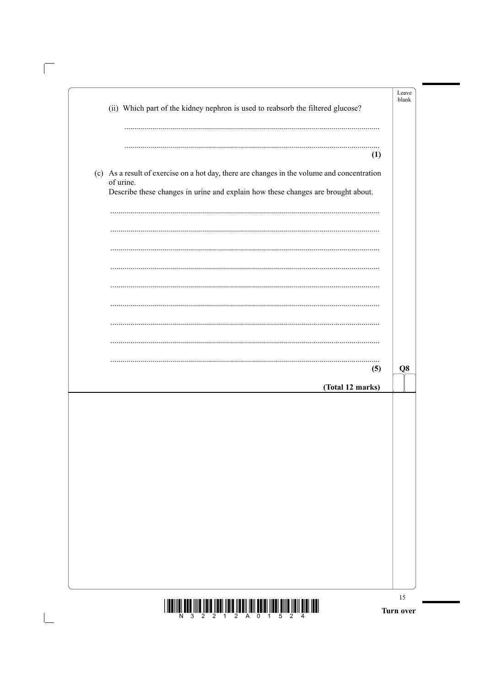| (ii) Which part of the kidney nephron is used to reabsorb the filtered glucose?                                                                                                              | Leave<br>blank |
|----------------------------------------------------------------------------------------------------------------------------------------------------------------------------------------------|----------------|
| (1)                                                                                                                                                                                          |                |
| (c) As a result of exercise on a hot day, there are changes in the volume and concentration<br>of urine.<br>Describe these changes in urine and explain how these changes are brought about. |                |
|                                                                                                                                                                                              |                |
|                                                                                                                                                                                              |                |
|                                                                                                                                                                                              |                |
|                                                                                                                                                                                              |                |
| (5)<br>(Total 12 marks)                                                                                                                                                                      | Q <sub>8</sub> |
|                                                                                                                                                                                              |                |
|                                                                                                                                                                                              |                |
|                                                                                                                                                                                              |                |
|                                                                                                                                                                                              |                |
|                                                                                                                                                                                              |                |
|                                                                                                                                                                                              |                |

 $\overline{\mathbb{F}}$ 

 $\overline{\phantom{a}}$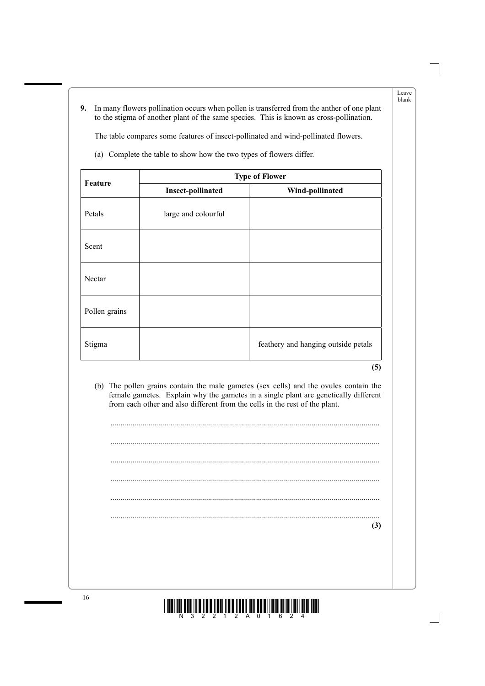**9.** In many flowers pollination occurs when pollen is transferred from the anther of one plant to the stigma of another plant of the same species. This is known as cross-pollination.

The table compares some features of insect-pollinated and wind-pollinated flowers.

|               | <b>Type of Flower</b>    |                                     |  |
|---------------|--------------------------|-------------------------------------|--|
| Feature       | <b>Insect-pollinated</b> | Wind-pollinated                     |  |
| Petals        | large and colourful      |                                     |  |
| Scent         |                          |                                     |  |
| Nectar        |                          |                                     |  |
| Pollen grains |                          |                                     |  |
| Stigma        |                          | feathery and hanging outside petals |  |

(a) Complete the table to show how the two types of flowers differ.

**(5)**

Leave blank

 (b) The pollen grains contain the male gametes (sex cells) and the ovules contain the female gametes. Explain why the gametes in a single plant are genetically different from each other and also different from the cells in the rest of the plant.

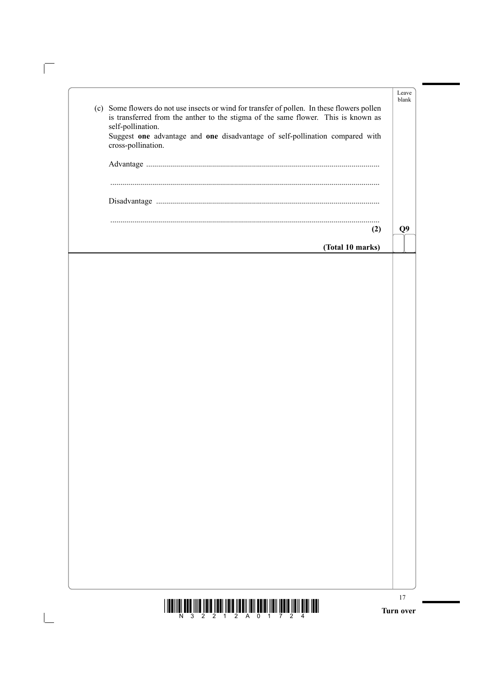| <u>i indiligi boo illo ildin ildil ildin ildili iddiligi olim ildil ildil ildil olim ildiligi ildi.</u>                                                                                                      | 17<br>Turn over |
|--------------------------------------------------------------------------------------------------------------------------------------------------------------------------------------------------------------|-----------------|
|                                                                                                                                                                                                              |                 |
|                                                                                                                                                                                                              |                 |
|                                                                                                                                                                                                              |                 |
|                                                                                                                                                                                                              |                 |
|                                                                                                                                                                                                              |                 |
|                                                                                                                                                                                                              |                 |
|                                                                                                                                                                                                              |                 |
|                                                                                                                                                                                                              |                 |
|                                                                                                                                                                                                              |                 |
| (2)<br>(Total 10 marks)                                                                                                                                                                                      | Q <sub>9</sub>  |
|                                                                                                                                                                                                              |                 |
|                                                                                                                                                                                                              |                 |
| is transferred from the anther to the stigma of the same flower. This is known as<br>self-pollination.<br>Suggest one advantage and one disadvantage of self-pollination compared with<br>cross-pollination. |                 |
| (c) Some flowers do not use insects or wind for transfer of pollen. In these flowers pollen                                                                                                                  | Leave<br>blank  |

 $\overline{\mathbb{F}}$ 

 $\begin{array}{c} \hline \end{array}$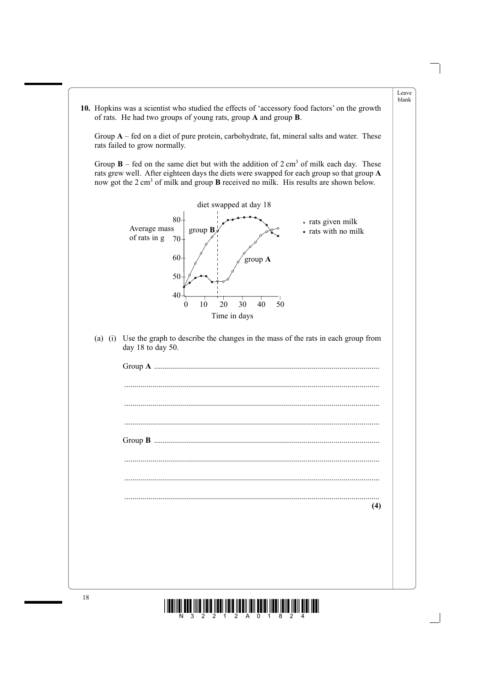

 $\begin{min}\lim\limits_{N\to 3}\lim\limits_{n\to\infty}\lim\limits_{n\to\infty}\lim\limits_{n\to\infty}\lim\limits_{n\to\infty}\lim\lim\limits_{n\to\infty}\lim\lim\limits_{n\to\infty}\lim\lim\limits_{n\to\infty}\lim\lim\limits_{n\to\infty}$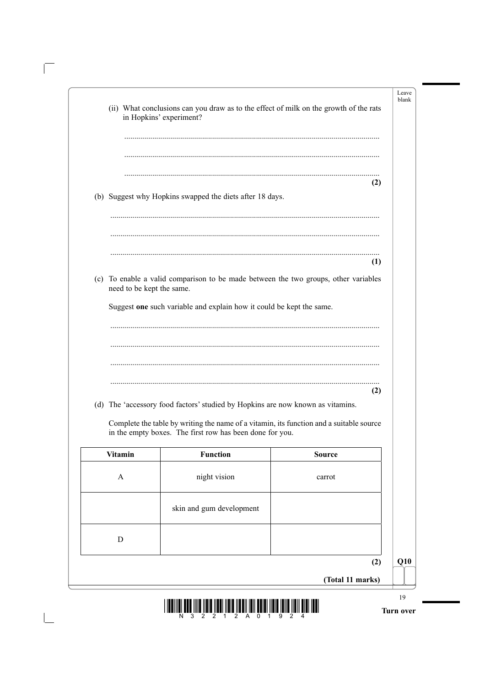|     |               | (ii) What conclusions can you draw as to the effect of milk on the growth of the rats<br>in Hopkins' experiment?                                    |                           |  |
|-----|---------------|-----------------------------------------------------------------------------------------------------------------------------------------------------|---------------------------|--|
|     |               |                                                                                                                                                     |                           |  |
| (2) |               | (b) Suggest why Hopkins swapped the diets after 18 days.                                                                                            |                           |  |
| (1) |               |                                                                                                                                                     |                           |  |
|     |               | (c) To enable a valid comparison to be made between the two groups, other variables                                                                 | need to be kept the same. |  |
|     |               | Suggest one such variable and explain how it could be kept the same.                                                                                |                           |  |
|     |               |                                                                                                                                                     |                           |  |
|     |               |                                                                                                                                                     |                           |  |
|     |               |                                                                                                                                                     |                           |  |
| (2) |               | (d) The 'accessory food factors' studied by Hopkins are now known as vitamins.                                                                      |                           |  |
|     |               | Complete the table by writing the name of a vitamin, its function and a suitable source<br>in the empty boxes. The first row has been done for you. |                           |  |
|     | <b>Source</b> | <b>Function</b>                                                                                                                                     | <b>Vitamin</b>            |  |
|     | carrot        | night vision                                                                                                                                        | $\mathbf{A}$              |  |
|     |               | skin and gum development                                                                                                                            |                           |  |
|     |               |                                                                                                                                                     | D                         |  |
| (2) |               |                                                                                                                                                     |                           |  |

 $\sqrt{2}$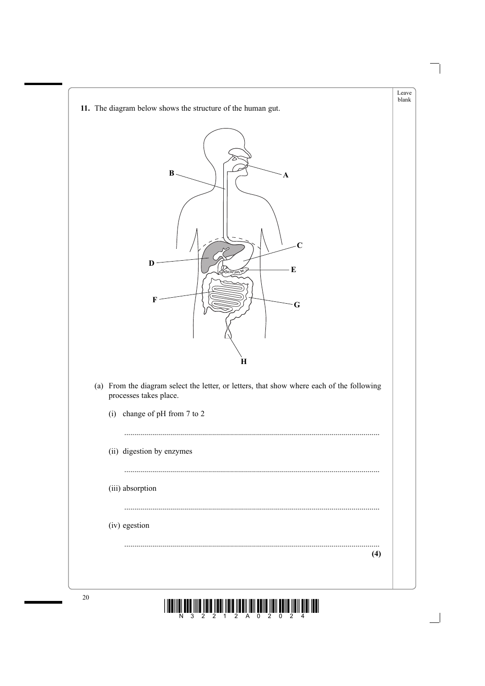

20  $\left|\frac{1}{N}\right|\left|\left|\frac{1}{3}\right|\right|\left|\left|\frac{1}{2}\right|\right|\left|\left|\frac{1}{2}\right|\right|\left|\left|\frac{1}{2}\right|\right|\left|\left|\frac{1}{2}\right|\right|\left|\left|\frac{1}{2}\right|\right|\left|\left|\frac{1}{2}\right|\left|\left|\frac{1}{2}\right|\right|\left|\left|\frac{1}{2}\right|\right|\left|\left|\frac{1}{2}\right|\right|\left|\left|\frac{1}{2}\right|\right|\left|\left|\frac{1}{2}\right|\right|\left|\left|\frac{1}{2}\right|\right|\left|\left|\frac{1}{2}\right|\right|\left|\left|\frac{1}{2}\right|\$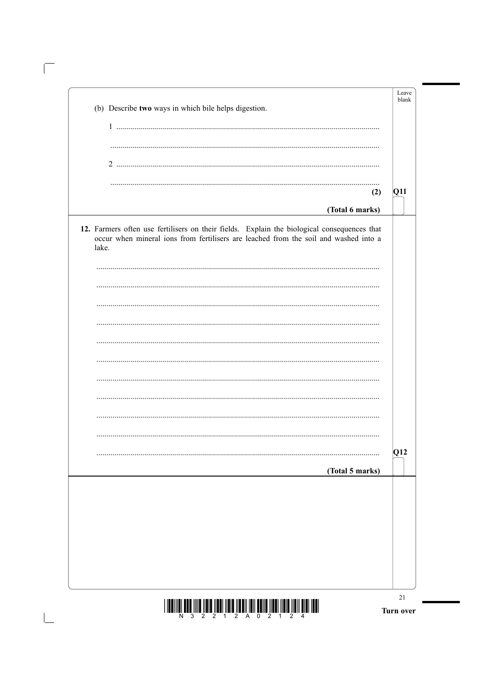| (b) Describe two ways in which bile helps digestion.                                                                                                                                         | Leave<br>blank |
|----------------------------------------------------------------------------------------------------------------------------------------------------------------------------------------------|----------------|
|                                                                                                                                                                                              |                |
|                                                                                                                                                                                              |                |
|                                                                                                                                                                                              |                |
|                                                                                                                                                                                              |                |
| (2)                                                                                                                                                                                          | Q11            |
| (Total 6 marks)                                                                                                                                                                              |                |
| 12. Farmers often use fertilisers on their fields. Explain the biological consequences that<br>occur when mineral ions from fertilisers are leached from the soil and washed into a<br>lake. |                |
|                                                                                                                                                                                              |                |
|                                                                                                                                                                                              |                |
|                                                                                                                                                                                              |                |
|                                                                                                                                                                                              |                |
|                                                                                                                                                                                              |                |
|                                                                                                                                                                                              |                |
|                                                                                                                                                                                              |                |
|                                                                                                                                                                                              |                |
|                                                                                                                                                                                              |                |
|                                                                                                                                                                                              |                |
|                                                                                                                                                                                              | Q12            |
| (Total 5 marks)                                                                                                                                                                              |                |
|                                                                                                                                                                                              |                |
|                                                                                                                                                                                              |                |
|                                                                                                                                                                                              |                |
|                                                                                                                                                                                              |                |
|                                                                                                                                                                                              |                |
|                                                                                                                                                                                              |                |
|                                                                                                                                                                                              |                |

 $\sqrt{\phantom{a}}$ 

 $\boxed{\phantom{1}}$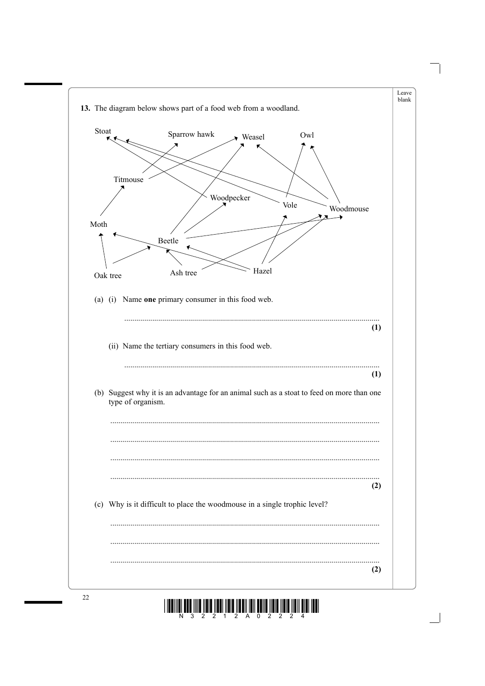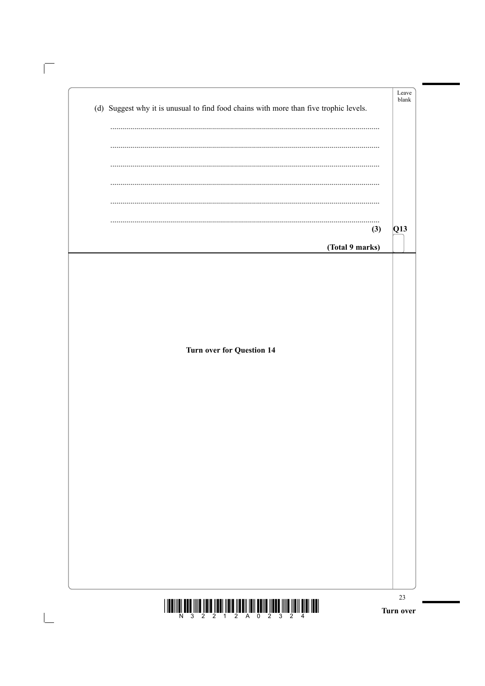| $  \bm{\mathsf{H}}  \bm{\mathsf{H}}  \bm{\mathsf{H}}  \bm{\mathsf{H}}  \bm{\mathsf{H}}  \bm{\mathsf{H}}  \bm{\mathsf{H}}  \bm{\mathsf{H}}  \bm{\mathsf{H}}  \bm{\mathsf{H}}  \bm{\mathsf{H}}  \bm{\mathsf{H}}  \bm{\mathsf{H}}  \bm{\mathsf{H}}  \bm{\mathsf{H}}  \bm{\mathsf{H}}  \bm{\mathsf{H}}  \bm{\mathsf{H}}  \bm{\mathsf{H}}  \bm{\mathsf{H}}  \bm{\mathsf{H}}  \bm{\mathsf{H}}  \bm{\mathsf{H}}  \bm{\mathsf{H}}  \bm{\$ | 23<br>Turn over |
|-----------------------------------------------------------------------------------------------------------------------------------------------------------------------------------------------------------------------------------------------------------------------------------------------------------------------------------------------------------------------------------------------------------------------------------|-----------------|
|                                                                                                                                                                                                                                                                                                                                                                                                                                   |                 |
|                                                                                                                                                                                                                                                                                                                                                                                                                                   |                 |
|                                                                                                                                                                                                                                                                                                                                                                                                                                   |                 |
|                                                                                                                                                                                                                                                                                                                                                                                                                                   |                 |
|                                                                                                                                                                                                                                                                                                                                                                                                                                   |                 |
|                                                                                                                                                                                                                                                                                                                                                                                                                                   |                 |
| <b>Turn over for Question 14</b>                                                                                                                                                                                                                                                                                                                                                                                                  |                 |
|                                                                                                                                                                                                                                                                                                                                                                                                                                   |                 |
| (Total 9 marks)                                                                                                                                                                                                                                                                                                                                                                                                                   |                 |
| (3)                                                                                                                                                                                                                                                                                                                                                                                                                               | Q13             |
|                                                                                                                                                                                                                                                                                                                                                                                                                                   |                 |
|                                                                                                                                                                                                                                                                                                                                                                                                                                   |                 |
| (d) Suggest why it is unusual to find food chains with more than five trophic levels.                                                                                                                                                                                                                                                                                                                                             |                 |

 $\overline{\rule{0pt}{2.5ex}\hspace{0.025ex}}$ 

 $\boxed{\phantom{a}}$